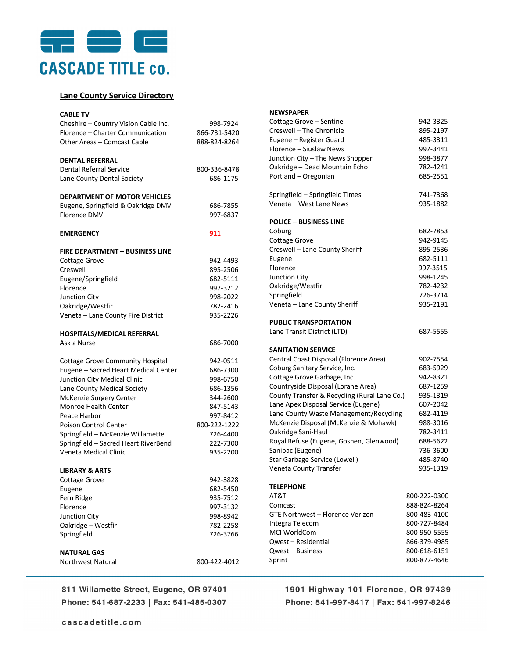

## **Lane County Service Directory**

| <b>CABLE TV</b>                                                      |                      |
|----------------------------------------------------------------------|----------------------|
| Cheshire - Country Vision Cable Inc.                                 | 998-7924             |
| Florence - Charter Communication                                     | 866-731-5420         |
| Other Areas - Comcast Cable                                          | 888-824-8264         |
|                                                                      |                      |
| <b>DENTAL REFERRAL</b>                                               |                      |
| <b>Dental Referral Service</b>                                       | 800-336-8478         |
| Lane County Dental Society                                           | 686-1175             |
| <b>DEPARTMENT OF MOTOR VEHICLES</b>                                  |                      |
| Eugene, Springfield & Oakridge DMV                                   | 686-7855             |
| <b>Florence DMV</b>                                                  | 997-6837             |
| <b>EMERGENCY</b>                                                     | 911                  |
|                                                                      |                      |
| <b>FIRE DEPARTMENT - BUSINESS LINE</b>                               |                      |
| <b>Cottage Grove</b>                                                 | 942-4493             |
| Creswell                                                             | 895-2506             |
| Eugene/Springfield                                                   | 682-5111             |
| Florence                                                             | 997-3212             |
| Junction City                                                        | 998-2022             |
| Oakridge/Westfir                                                     | 782-2416             |
| Veneta - Lane County Fire District                                   | 935-2226             |
| HOSPITALS/MEDICAL REFERRAL                                           |                      |
| Ask a Nurse                                                          | 686-7000             |
|                                                                      |                      |
| <b>Cottage Grove Community Hospital</b>                              | 942-0511             |
| Eugene - Sacred Heart Medical Center<br>Junction City Medical Clinic | 686-7300<br>998-6750 |
| Lane County Medical Society                                          | 686-1356             |
| McKenzie Surgery Center                                              | 344-2600             |
| <b>Monroe Health Center</b>                                          | 847-5143             |
| Peace Harbor                                                         | 997-8412             |
| <b>Poison Control Center</b>                                         | 800-222-1222         |
| Springfield - McKenzie Willamette                                    | 726-4400             |
| Springfield - Sacred Heart RiverBend                                 | 222-7300             |
| Veneta Medical Clinic                                                | 935-2200             |
|                                                                      |                      |
| <b>LIBRARY &amp; ARTS</b>                                            |                      |
| <b>Cottage Grove</b>                                                 | 942-3828             |
| Eugene                                                               | 682-5450             |
| Fern Ridge                                                           | 935-7512             |
| Florence                                                             | 997-3132             |
| <b>Junction City</b>                                                 | 998-8942             |
| Oakridge - Westfir                                                   | 782-2258             |
| Springfield                                                          | 726-3766             |
| <b>NATURAL GAS</b>                                                   |                      |
| Northwest Natural                                                    | 800-422-4012         |
|                                                                      |                      |

## 811 Willamette Street, Eugene, OR 97401 Phone: 541-687-2233 | Fax: 541-485-0307

**NEWSPAPER** 

| Cottage Grove - Sentinel                                                | 942-3325     |
|-------------------------------------------------------------------------|--------------|
| Creswell - The Chronicle                                                | 895-2197     |
| Eugene - Register Guard                                                 | 485-3311     |
| Florence - Siuslaw News                                                 | 997-3441     |
| Junction City - The News Shopper                                        | 998-3877     |
| Oakridge - Dead Mountain Echo                                           | 782-4241     |
| Portland - Oregonian                                                    | 685-2551     |
|                                                                         |              |
| Springfield - Springfield Times                                         | 741-7368     |
| Veneta - West Lane News                                                 | 935-1882     |
|                                                                         |              |
| <b>POLICE - BUSINESS LINE</b>                                           |              |
| Coburg                                                                  | 682-7853     |
| <b>Cottage Grove</b>                                                    | 942-9145     |
| Creswell - Lane County Sheriff                                          | 895-2536     |
| Eugene                                                                  | 682-5111     |
| Florence                                                                | 997-3515     |
| Junction City                                                           | 998-1245     |
| Oakridge/Westfir                                                        | 782-4232     |
| Springfield                                                             | 726-3714     |
| Veneta - Lane County Sheriff                                            | 935-2191     |
|                                                                         |              |
| PUBLIC TRANSPORTATION                                                   |              |
| Lane Transit District (LTD)                                             | 687-5555     |
|                                                                         |              |
|                                                                         |              |
| <b>SANITATION SERVICE</b>                                               |              |
|                                                                         | 902-7554     |
| Central Coast Disposal (Florence Area)<br>Coburg Sanitary Service, Inc. | 683-5929     |
|                                                                         | 942-8321     |
| Cottage Grove Garbage, Inc.                                             | 687-1259     |
| Countryside Disposal (Lorane Area)                                      | 935-1319     |
| County Transfer & Recycling (Rural Lane Co.)                            | 607-2042     |
| Lane Apex Disposal Service (Eugene)                                     | 682-4119     |
| Lane County Waste Management/Recycling                                  | 988-3016     |
| McKenzie Disposal (McKenzie & Mohawk)                                   | 782-3411     |
| Oakridge Sani-Haul                                                      | 688-5622     |
| Royal Refuse (Eugene, Goshen, Glenwood)                                 | 736-3600     |
| Sanipac (Eugene)                                                        | 485-8740     |
| Star Garbage Service (Lowell)                                           | 935-1319     |
| Veneta County Transfer                                                  |              |
| <b>TELEPHONE</b>                                                        |              |
| AT&T                                                                    | 800-222-0300 |
| Comcast                                                                 | 888-824-8264 |
| GTE Northwest - Florence Verizon                                        | 800-483-4100 |
| Integra Telecom                                                         | 800-727-8484 |
| MCI WorldCom                                                            | 800-950-5555 |
| Qwest - Residential                                                     | 866-379-4985 |
| Qwest - Business                                                        | 800-618-6151 |
| Sprint                                                                  | 800-877-4646 |

1901 Highway 101 Florence, OR 97439 Phone: 541-997-8417 | Fax: 541-997-8246